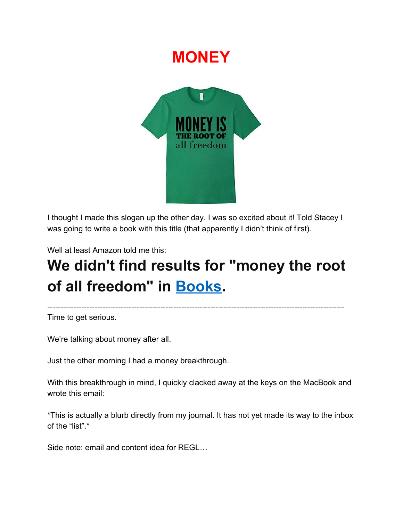## **MONEY**



I thought I made this slogan up the other day. I was so excited about it! Told Stacey I was going to write a book with this title (that apparently I didn't think of first).

Well at least Amazon told me this:

# **We didn't find results for "money the root of all freedom" in [Books.](https://www.amazon.com/l/ref=sr_aps_to_alc_2_/283155)**

-----------------------------------------------------------------------------------------------------------------

Time to get serious.

We're talking about money after all.

Just the other morning I had a money breakthrough.

With this breakthrough in mind, I quickly clacked away at the keys on the MacBook and wrote this email:

\*This is actually a blurb directly from my journal. It has not yet made its way to the inbox of the "list".\*

Side note: email and content idea for REGL…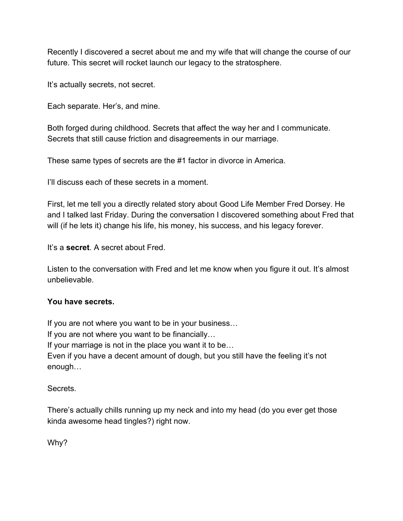Recently I discovered a secret about me and my wife that will change the course of our future. This secret will rocket launch our legacy to the stratosphere.

It's actually secrets, not secret.

Each separate. Her's, and mine.

Both forged during childhood. Secrets that affect the way her and I communicate. Secrets that still cause friction and disagreements in our marriage.

These same types of secrets are the #1 factor in divorce in America.

I'll discuss each of these secrets in a moment.

First, let me tell you a directly related story about Good Life Member Fred Dorsey. He and I talked last Friday. During the conversation I discovered something about Fred that will (if he lets it) change his life, his money, his success, and his legacy forever.

It's a **secret**. A secret about Fred.

Listen to the conversation with Fred and let me know when you figure it out. It's almost unbelievable.

#### **You have secrets.**

If you are not where you want to be in your business… If you are not where you want to be financially… If your marriage is not in the place you want it to be… Even if you have a decent amount of dough, but you still have the feeling it's not enough…

Secrets.

There's actually chills running up my neck and into my head (do you ever get those kinda awesome head tingles?) right now.

Why?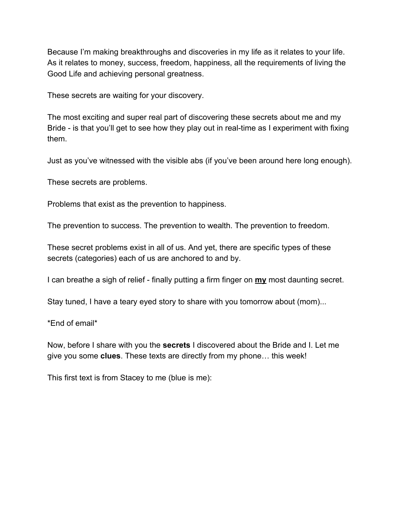Because I'm making breakthroughs and discoveries in my life as it relates to your life. As it relates to money, success, freedom, happiness, all the requirements of living the Good Life and achieving personal greatness.

These secrets are waiting for your discovery.

The most exciting and super real part of discovering these secrets about me and my Bride - is that you'll get to see how they play out in real-time as I experiment with fixing them.

Just as you've witnessed with the visible abs (if you've been around here long enough).

These secrets are problems.

Problems that exist as the prevention to happiness.

The prevention to success. The prevention to wealth. The prevention to freedom.

These secret problems exist in all of us. And yet, there are specific types of these secrets (categories) each of us are anchored to and by.

I can breathe a sigh of relief - finally putting a firm finger on **my** most daunting secret.

Stay tuned, I have a teary eyed story to share with you tomorrow about (mom)...

\*End of email\*

Now, before I share with you the **secrets** I discovered about the Bride and I. Let me give you some **clues**. These texts are directly from my phone… this week!

This first text is from Stacey to me (blue is me):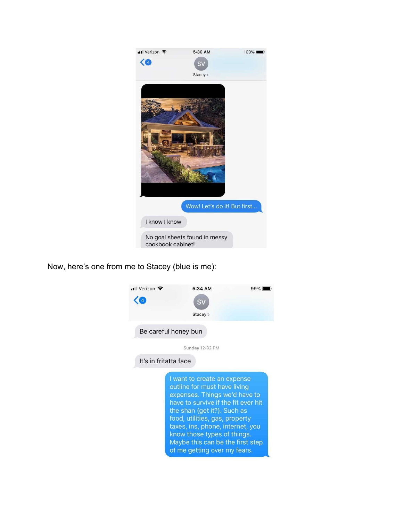

Now, here's one from me to Stacey (blue is me):

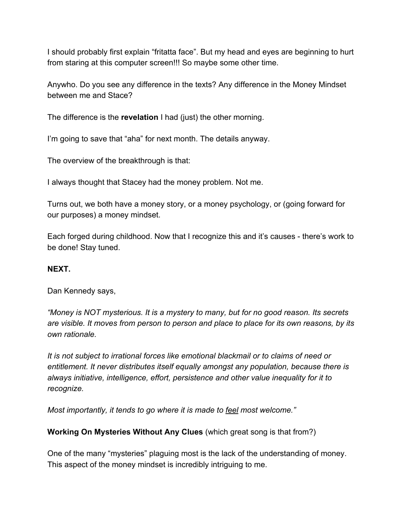I should probably first explain "fritatta face". But my head and eyes are beginning to hurt from staring at this computer screen!!! So maybe some other time.

Anywho. Do you see any difference in the texts? Any difference in the Money Mindset between me and Stace?

The difference is the **revelation** I had (just) the other morning.

I'm going to save that "aha" for next month. The details anyway.

The overview of the breakthrough is that:

I always thought that Stacey had the money problem. Not me.

Turns out, we both have a money story, or a money psychology, or (going forward for our purposes) a money mindset.

Each forged during childhood. Now that I recognize this and it's causes - there's work to be done! Stay tuned.

#### **NEXT.**

Dan Kennedy says,

*"Money is NOT mysterious. It is a mystery to many, but for no good reason. Its secrets are visible. It moves from person to person and place to place for its own reasons, by its own rationale.*

*It is not subject to irrational forces like emotional blackmail or to claims of need or entitlement. It never distributes itself equally amongst any population, because there is always initiative, intelligence, effort, persistence and other value inequality for it to recognize.*

*Most importantly, it tends to go where it is made to feel most welcome."*

**Working On Mysteries Without Any Clues** (which great song is that from?)

One of the many "mysteries" plaguing most is the lack of the understanding of money. This aspect of the money mindset is incredibly intriguing to me.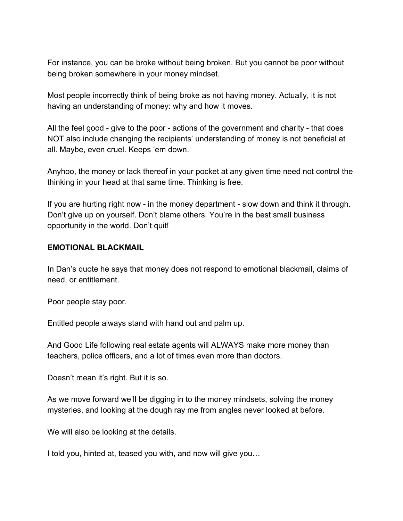For instance, you can be broke without being broken. But you cannot be poor without being broken somewhere in your money mindset.

Most people incorrectly think of being broke as not having money. Actually, it is not having an understanding of money: why and how it moves.

All the feel good - give to the poor - actions of the government and charity - that does NOT also include changing the recipients' understanding of money is not beneficial at all. Maybe, even cruel. Keeps 'em down.

Anyhoo, the money or lack thereof in your pocket at any given time need not control the thinking in your head at that same time. Thinking is free.

If you are hurting right now - in the money department - slow down and think it through. Don't give up on yourself. Don't blame others. You're in the best small business opportunity in the world. Don't quit!

#### **EMOTIONAL BLACKMAIL**

In Dan's quote he says that money does not respond to emotional blackmail, claims of need, or entitlement.

Poor people stay poor.

Entitled people always stand with hand out and palm up.

And Good Life following real estate agents will ALWAYS make more money than teachers, police officers, and a lot of times even more than doctors.

Doesn't mean it's right. But it is so.

As we move forward we'll be digging in to the money mindsets, solving the money mysteries, and looking at the dough ray me from angles never looked at before.

We will also be looking at the details.

I told you, hinted at, teased you with, and now will give you…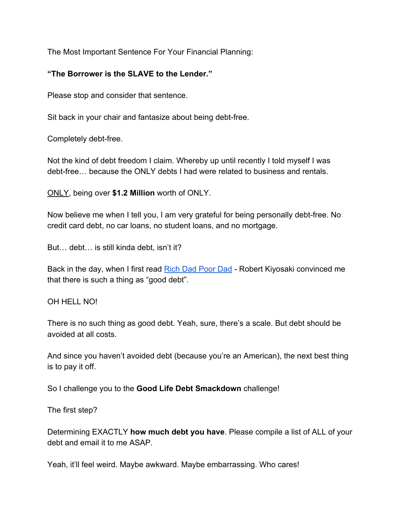The Most Important Sentence For Your Financial Planning:

### **"The Borrower is the SLAVE to the Lender."**

Please stop and consider that sentence.

Sit back in your chair and fantasize about being debt-free.

Completely debt-free.

Not the kind of debt freedom I claim. Whereby up until recently I told myself I was debt-free… because the ONLY debts I had were related to business and rentals.

ONLY, being over **\$1.2 Million** worth of ONLY.

Now believe me when I tell you, I am very grateful for being personally debt-free. No credit card debt, no car loans, no student loans, and no mortgage.

But… debt… is still kinda debt, isn't it?

Back in the day, when I first read [Rich Dad Poor Dad](https://www.amazon.com/Rich-Dad-Poor-Teach-Middle/dp/1612680194/ref=sr_1_1?ie=UTF8&qid=1544125814&sr=8-1&keywords=rich+dad+poor+dad) - Robert Kiyosaki convinced me that there is such a thing as "good debt".

OH HELL NO!

There is no such thing as good debt. Yeah, sure, there's a scale. But debt should be avoided at all costs.

And since you haven't avoided debt (because you're an American), the next best thing is to pay it off.

So I challenge you to the **Good Life Debt Smackdown** challenge!

The first step?

Determining EXACTLY **how much debt you have**. Please compile a list of ALL of your debt and email it to me ASAP.

Yeah, it'll feel weird. Maybe awkward. Maybe embarrassing. Who cares!